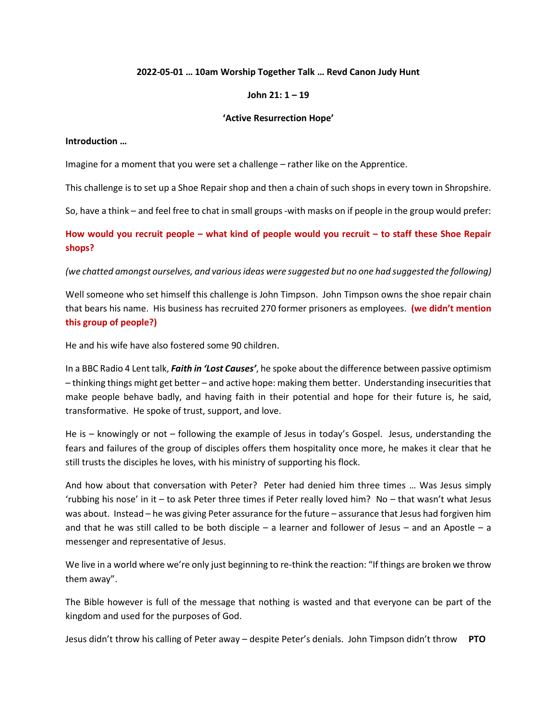### **2022-05-01 … 10am Worship Together Talk … Revd Canon Judy Hunt**

## **John 21: 1 – 19**

#### **'Active Resurrection Hope'**

#### **Introduction …**

Imagine for a moment that you were set a challenge – rather like on the Apprentice.

This challenge is to set up a Shoe Repair shop and then a chain of such shops in every town in Shropshire.

So, have a think – and feel free to chat in small groups -with masks on if people in the group would prefer:

**How would you recruit people – what kind of people would you recruit – to staff these Shoe Repair shops?**

*(we chatted amongst ourselves, and various ideas were suggested but no one had suggested the following)*

Well someone who set himself this challenge is John Timpson. John Timpson owns the shoe repair chain that bears his name. His business has recruited 270 former prisoners as employees. **(we didn't mention this group of people?)**

He and his wife have also fostered some 90 children.

In a BBC Radio 4 Lent talk, *Faith in 'Lost Causes'*, he spoke about the difference between passive optimism – thinking things might get better – and active hope: making them better. Understanding insecurities that make people behave badly, and having faith in their potential and hope for their future is, he said, transformative. He spoke of trust, support, and love.

He is – knowingly or not – following the example of Jesus in today's Gospel. Jesus, understanding the fears and failures of the group of disciples offers them hospitality once more, he makes it clear that he still trusts the disciples he loves, with his ministry of supporting his flock.

And how about that conversation with Peter? Peter had denied him three times … Was Jesus simply 'rubbing his nose' in it – to ask Peter three times if Peter really loved him? No – that wasn't what Jesus was about. Instead – he was giving Peter assurance for the future – assurance that Jesus had forgiven him and that he was still called to be both disciple – a learner and follower of Jesus – and an Apostle – a messenger and representative of Jesus.

We live in a world where we're only just beginning to re-think the reaction: "If things are broken we throw them away".

The Bible however is full of the message that nothing is wasted and that everyone can be part of the kingdom and used for the purposes of God.

Jesus didn't throw his calling of Peter away – despite Peter's denials. John Timpson didn't throw **PTO**